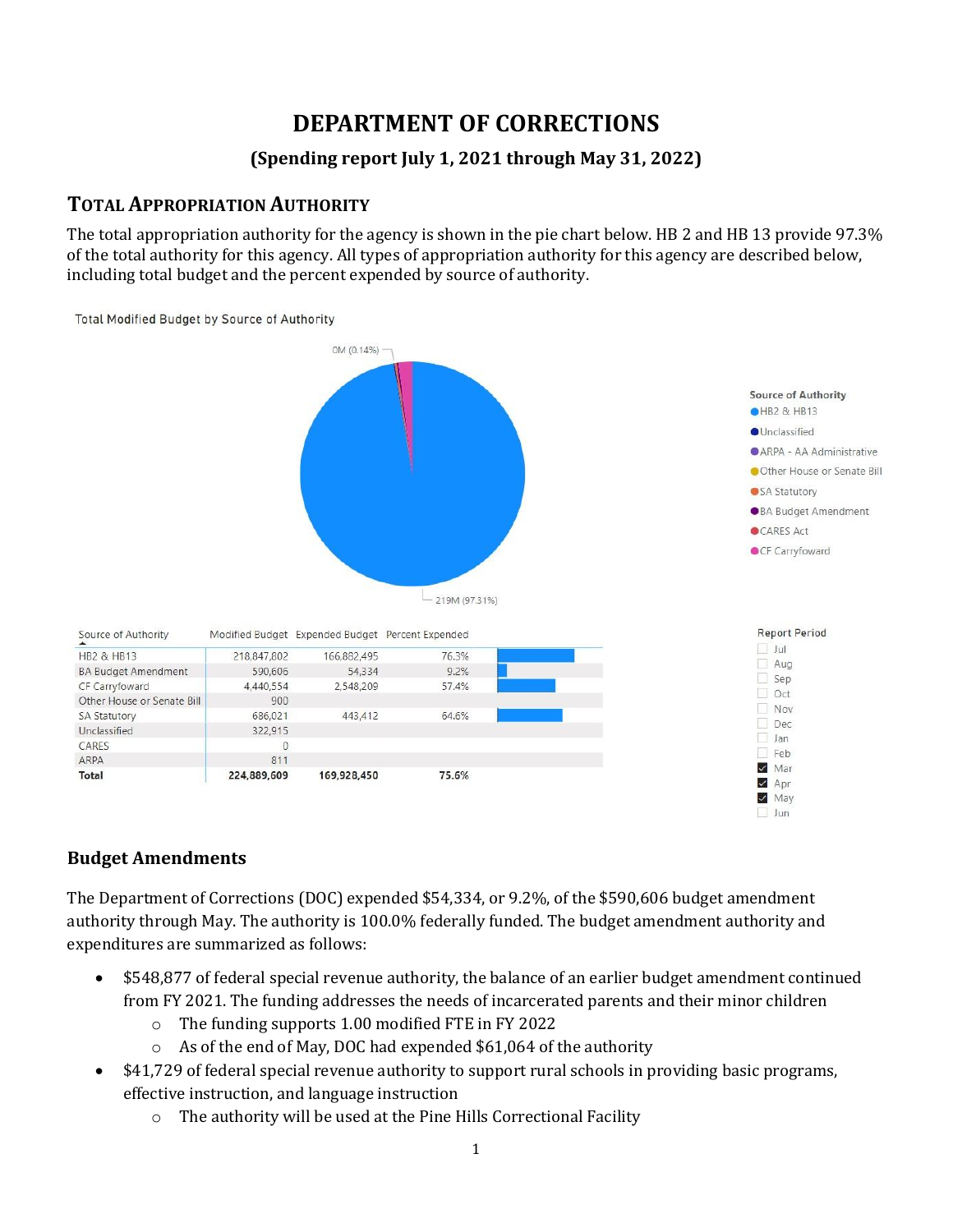# **DEPARTMENT OF CORRECTIONS**

## **(Spending report July 1, 2021 through May 31, 2022)**

## **TOTAL APPROPRIATION AUTHORITY**

The total appropriation authority for the agency is shown in the pie chart below. HB 2 and HB 13 provide 97.3% of the total authority for this agency. All types of appropriation authority for this agency are described below, including total budget and the percent expended by source of authority.

Total Modified Budget by Source of Authority



#### **Budget Amendments**

The Department of Corrections (DOC) expended \$54,334, or 9.2%, of the \$590,606 budget amendment authority through May. The authority is 100.0% federally funded. The budget amendment authority and expenditures are summarized as follows:

- \$548,877 of federal special revenue authority, the balance of an earlier budget amendment continued from FY 2021. The funding addresses the needs of incarcerated parents and their minor children
	- o The funding supports 1.00 modified FTE in FY 2022
	- o As of the end of May, DOC had expended \$61,064 of the authority
- \$41,729 of federal special revenue authority to support rural schools in providing basic programs, effective instruction, and language instruction
	- o The authority will be used at the Pine Hills Correctional Facility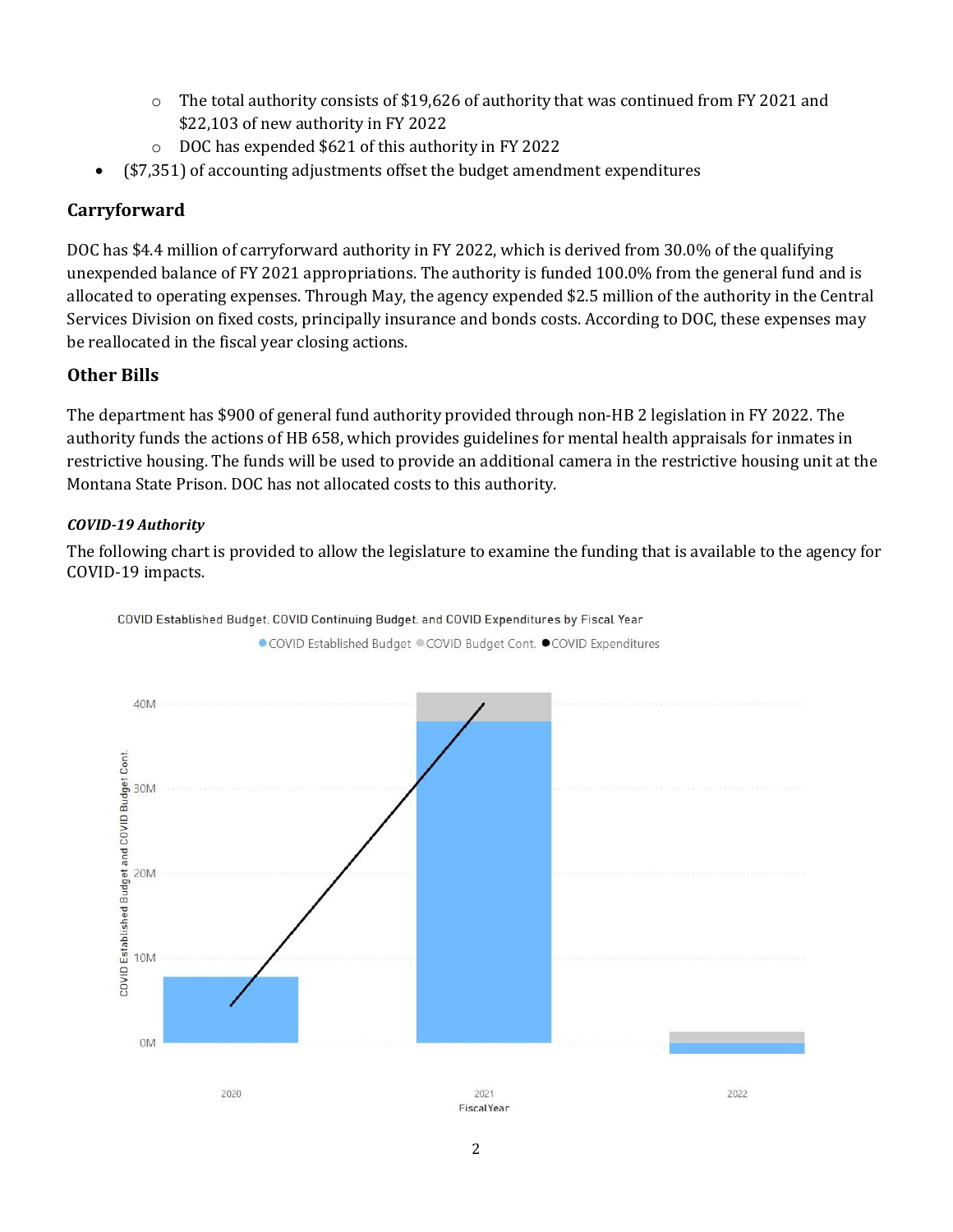- $\circ$  The total authority consists of \$19,626 of authority that was continued from FY 2021 and \$22,103 of new authority in FY 2022
- o DOC has expended \$621 of this authority in FY 2022
- (\$7,351) of accounting adjustments offset the budget amendment expenditures

#### **Carryforward**

DOC has \$4.4 million of carryforward authority in FY 2022, which is derived from 30.0% of the qualifying unexpended balance of FY 2021 appropriations. The authority is funded 100.0% from the general fund and is allocated to operating expenses. Through May, the agency expended \$2.5 million of the authority in the Central Services Division on fixed costs, principally insurance and bonds costs. According to DOC, these expenses may be reallocated in the fiscal year closing actions.

#### **Other Bills**

The department has \$900 of general fund authority provided through non-HB 2 legislation in FY 2022. The authority funds the actions of HB 658, which provides guidelines for mental health appraisals for inmates in restrictive housing. The funds will be used to provide an additional camera in the restrictive housing unit at the Montana State Prison. DOC has not allocated costs to this authority.

#### *COVID-19 Authority*

The following chart is provided to allow the legislature to examine the funding that is available to the agency for COVID-19 impacts.



COVID Established Budget, COVID Continuing Budget. and COVID Expenditures by Fiscal Year

● COVID Established Budget ● COVID Budget Cont. ● COVID Expenditures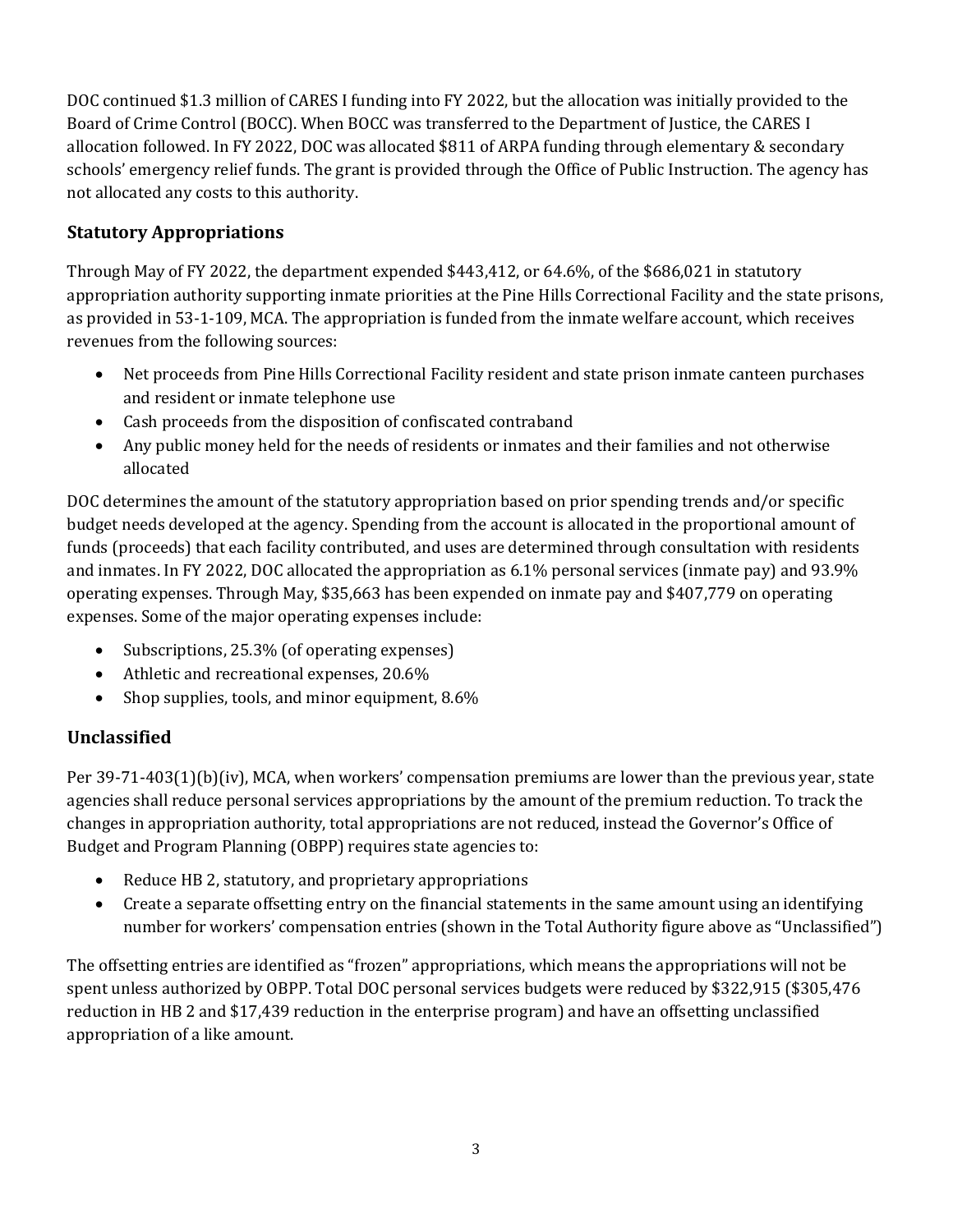DOC continued \$1.3 million of CARES I funding into FY 2022, but the allocation was initially provided to the Board of Crime Control (BOCC). When BOCC was transferred to the Department of Justice, the CARES I allocation followed. In FY 2022, DOC was allocated \$811 of ARPA funding through elementary & secondary schools' emergency relief funds. The grant is provided through the Office of Public Instruction. The agency has not allocated any costs to this authority.

## **Statutory Appropriations**

Through May of FY 2022, the department expended \$443,412, or 64.6%, of the \$686,021 in statutory appropriation authority supporting inmate priorities at the Pine Hills Correctional Facility and the state prisons, as provided in 53-1-109, MCA. The appropriation is funded from the inmate welfare account, which receives revenues from the following sources:

- Net proceeds from Pine Hills Correctional Facility resident and state prison inmate canteen purchases and resident or inmate telephone use
- Cash proceeds from the disposition of confiscated contraband
- Any public money held for the needs of residents or inmates and their families and not otherwise allocated

DOC determines the amount of the statutory appropriation based on prior spending trends and/or specific budget needs developed at the agency. Spending from the account is allocated in the proportional amount of funds (proceeds) that each facility contributed, and uses are determined through consultation with residents and inmates. In FY 2022, DOC allocated the appropriation as 6.1% personal services (inmate pay) and 93.9% operating expenses. Through May, \$35,663 has been expended on inmate pay and \$407,779 on operating expenses. Some of the major operating expenses include:

- Subscriptions, 25.3% (of operating expenses)
- Athletic and recreational expenses, 20.6%
- Shop supplies, tools, and minor equipment, 8.6%

## **Unclassified**

Per 39-71-403(1)(b)(iv), MCA, when workers' compensation premiums are lower than the previous year, state agencies shall reduce personal services appropriations by the amount of the premium reduction. To track the changes in appropriation authority, total appropriations are not reduced, instead the Governor's Office of Budget and Program Planning (OBPP) requires state agencies to:

- Reduce HB 2, statutory, and proprietary appropriations
- Create a separate offsetting entry on the financial statements in the same amount using an identifying number for workers' compensation entries (shown in the Total Authority figure above as "Unclassified")

The offsetting entries are identified as "frozen" appropriations, which means the appropriations will not be spent unless authorized by OBPP. Total DOC personal services budgets were reduced by \$322,915 (\$305,476 reduction in HB 2 and \$17,439 reduction in the enterprise program) and have an offsetting unclassified appropriation of a like amount.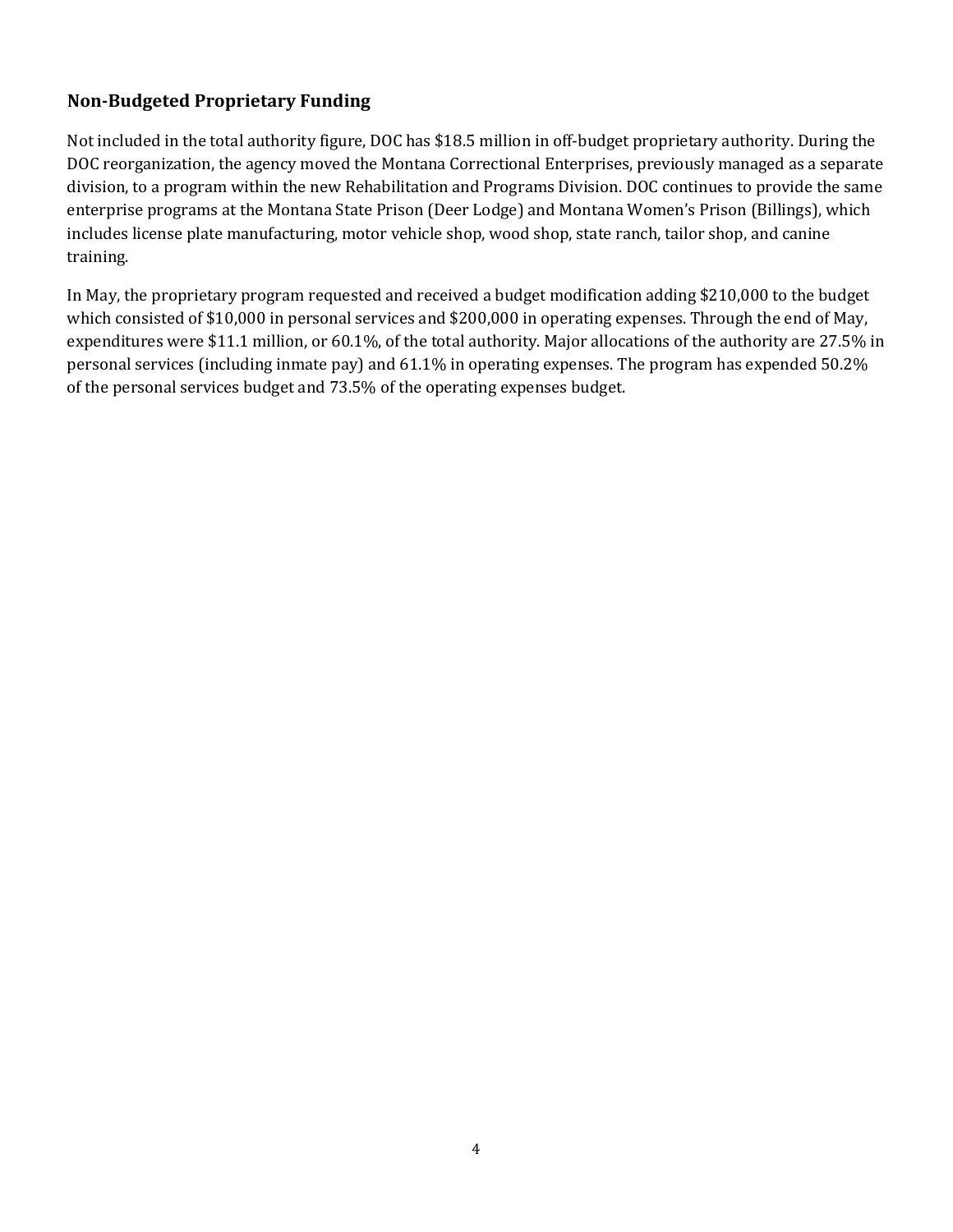### **Non-Budgeted Proprietary Funding**

Not included in the total authority figure, DOC has \$18.5 million in off-budget proprietary authority. During the DOC reorganization, the agency moved the Montana Correctional Enterprises, previously managed as a separate division, to a program within the new Rehabilitation and Programs Division. DOC continues to provide the same enterprise programs at the Montana State Prison (Deer Lodge) and Montana Women's Prison (Billings), which includes license plate manufacturing, motor vehicle shop, wood shop, state ranch, tailor shop, and canine training.

In May, the proprietary program requested and received a budget modification adding \$210,000 to the budget which consisted of \$10,000 in personal services and \$200,000 in operating expenses. Through the end of May, expenditures were \$11.1 million, or 60.1%, of the total authority. Major allocations of the authority are 27.5% in personal services (including inmate pay) and 61.1% in operating expenses. The program has expended 50.2% of the personal services budget and 73.5% of the operating expenses budget.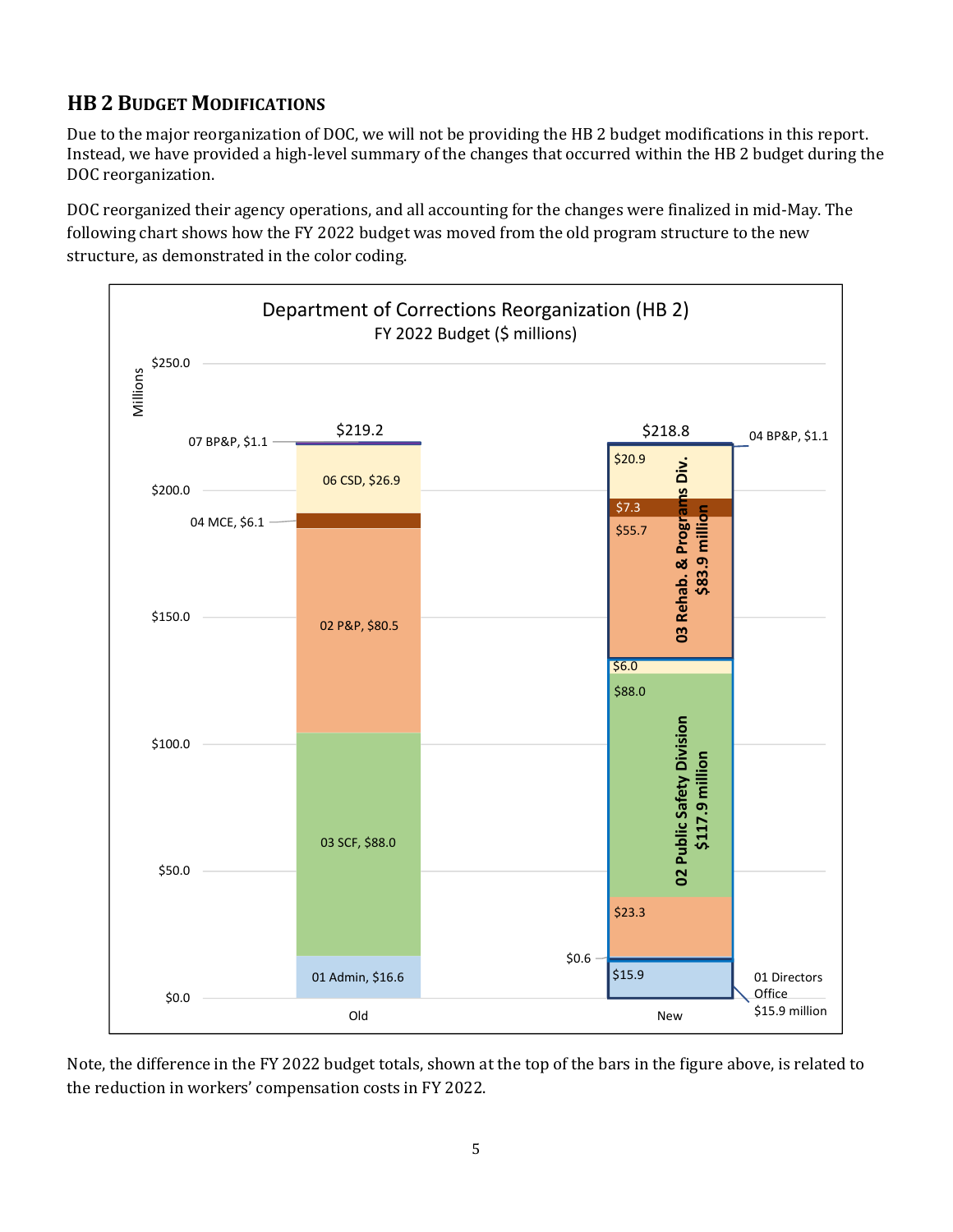# **HB 2 BUDGET MODIFICATIONS**

Due to the major reorganization of DOC, we will not be providing the HB 2 budget modifications in this report. Instead, we have provided a high-level summary of the changes that occurred within the HB 2 budget during the DOC reorganization.

DOC reorganized their agency operations, and all accounting for the changes were finalized in mid-May. The following chart shows how the FY 2022 budget was moved from the old program structure to the new structure, as demonstrated in the color coding.



Note, the difference in the FY 2022 budget totals, shown at the top of the bars in the figure above, is related to the reduction in workers' compensation costs in FY 2022.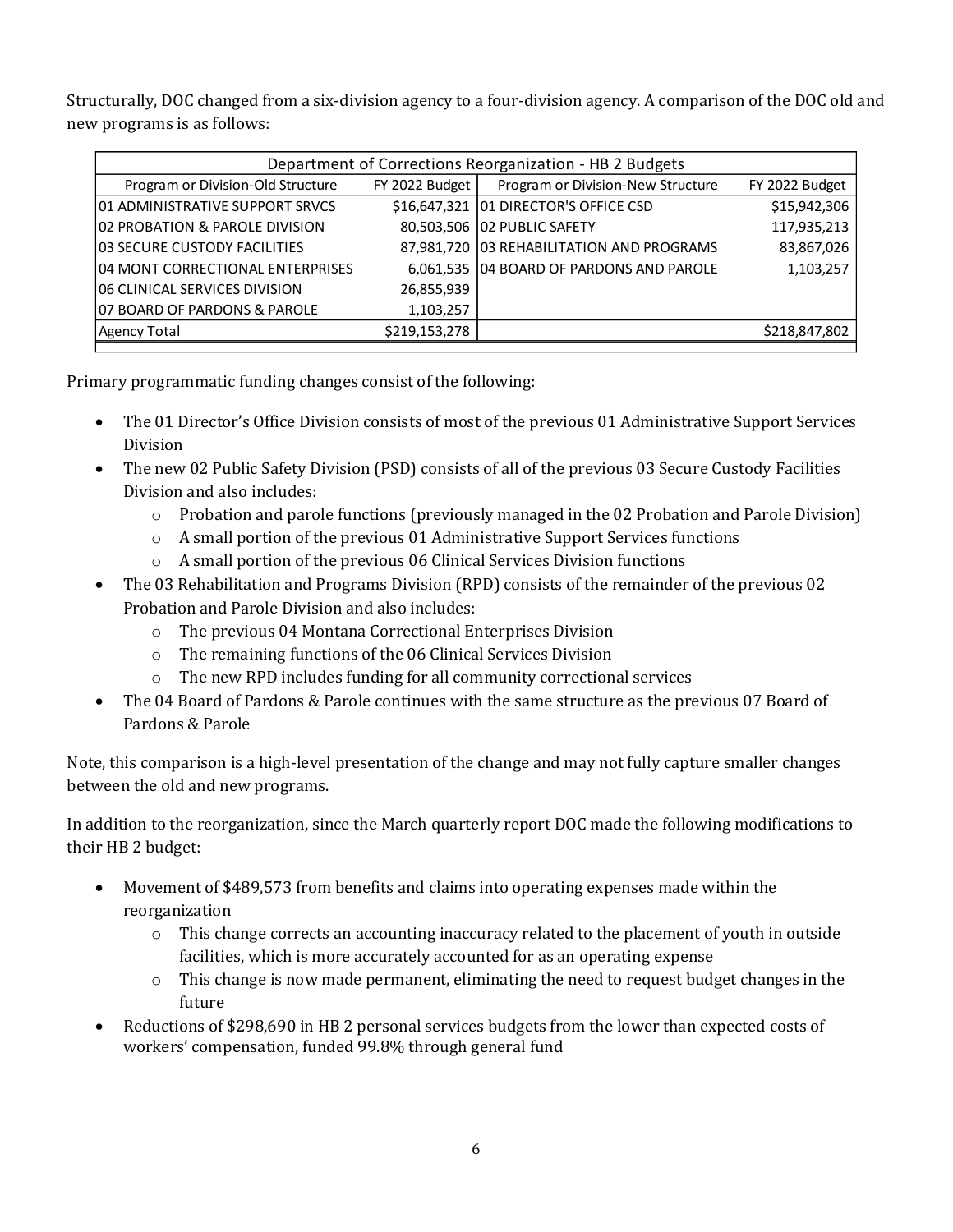Structurally, DOC changed from a six-division agency to a four-division agency. A comparison of the DOC old and new programs is as follows:

| Department of Corrections Reorganization - HB 2 Budgets |                  |                                           |                |
|---------------------------------------------------------|------------------|-------------------------------------------|----------------|
| Program or Division-Old Structure                       | $FY$ 2022 Budget | Program or Division-New Structure         | FY 2022 Budget |
| 101 ADMINISTRATIVE SUPPORT SRVCS                        |                  | \$16,647,321 01 DIRECTOR'S OFFICE CSD     | \$15,942,306   |
| 02 PROBATION & PAROLE DIVISION                          |                  | 80,503,506 02 PUBLIC SAFETY               | 117,935,213    |
| <b>103 SECURE CUSTODY FACILITIES</b>                    |                  | 87,981,720 03 REHABILITATION AND PROGRAMS | 83,867,026     |
| 104 MONT CORRECTIONAL ENTERPRISES                       |                  | 6,061,535 04 BOARD OF PARDONS AND PAROLE  | 1,103,257      |
| 106 CLINICAL SERVICES DIVISION                          | 26,855,939       |                                           |                |
| 107 BOARD OF PARDONS & PAROLE                           | 1,103,257        |                                           |                |
| Agency Total                                            | \$219,153,278    |                                           | \$218,847,802  |

Primary programmatic funding changes consist of the following:

- The 01 Director's Office Division consists of most of the previous 01 Administrative Support Services Division
- The new 02 Public Safety Division (PSD) consists of all of the previous 03 Secure Custody Facilities Division and also includes:
	- $\circ$  Probation and parole functions (previously managed in the 02 Probation and Parole Division)
	- o A small portion of the previous 01 Administrative Support Services functions
	- o A small portion of the previous 06 Clinical Services Division functions
- The 03 Rehabilitation and Programs Division (RPD) consists of the remainder of the previous 02 Probation and Parole Division and also includes:
	- o The previous 04 Montana Correctional Enterprises Division
	- o The remaining functions of the 06 Clinical Services Division
	- o The new RPD includes funding for all community correctional services
- The 04 Board of Pardons & Parole continues with the same structure as the previous 07 Board of Pardons & Parole

Note, this comparison is a high-level presentation of the change and may not fully capture smaller changes between the old and new programs.

In addition to the reorganization, since the March quarterly report DOC made the following modifications to their HB 2 budget:

- Movement of \$489,573 from benefits and claims into operating expenses made within the reorganization
	- $\circ$  This change corrects an accounting inaccuracy related to the placement of youth in outside facilities, which is more accurately accounted for as an operating expense
	- $\circ$  This change is now made permanent, eliminating the need to request budget changes in the future
- Reductions of \$298,690 in HB 2 personal services budgets from the lower than expected costs of workers' compensation, funded 99.8% through general fund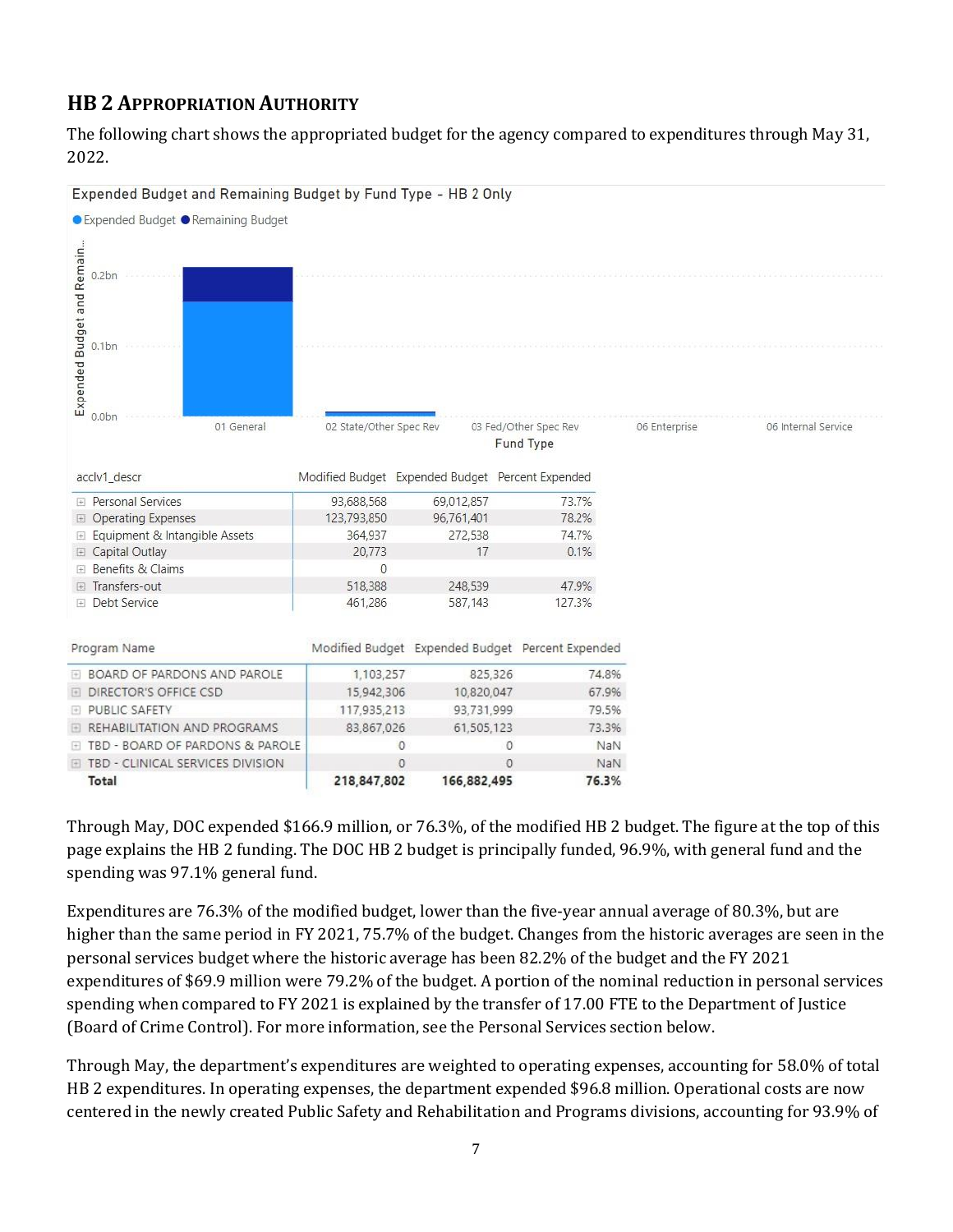# **HB 2 APPROPRIATION AUTHORITY**

The following chart shows the appropriated budget for the agency compared to expenditures through May 31, 2022.



Through May, DOC expended \$166.9 million, or 76.3%, of the modified HB 2 budget. The figure at the top of this page explains the HB 2 funding. The DOC HB 2 budget is principally funded, 96.9%, with general fund and the spending was 97.1% general fund.

Expenditures are 76.3% of the modified budget, lower than the five-year annual average of 80.3%, but are higher than the same period in FY 2021, 75.7% of the budget. Changes from the historic averages are seen in the personal services budget where the historic average has been 82.2% of the budget and the FY 2021 expenditures of \$69.9 million were 79.2% of the budget. A portion of the nominal reduction in personal services spending when compared to FY 2021 is explained by the transfer of 17.00 FTE to the Department of Justice (Board of Crime Control). For more information, see the Personal Services section below.

Through May, the department's expenditures are weighted to operating expenses, accounting for 58.0% of total HB 2 expenditures. In operating expenses, the department expended \$96.8 million. Operational costs are now centered in the newly created Public Safety and Rehabilitation and Programs divisions, accounting for 93.9% of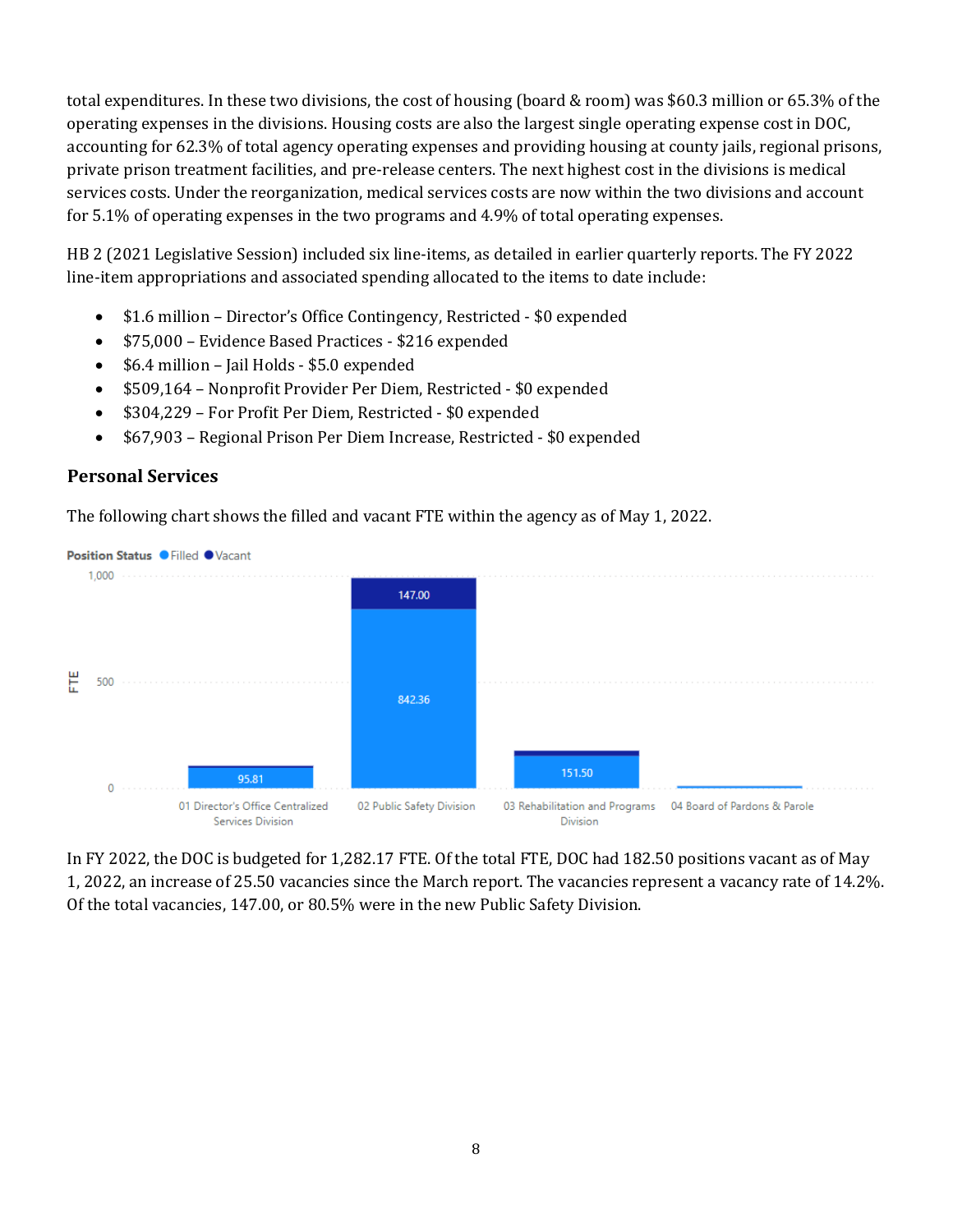total expenditures. In these two divisions, the cost of housing (board & room) was \$60.3 million or 65.3% of the operating expenses in the divisions. Housing costs are also the largest single operating expense cost in DOC, accounting for 62.3% of total agency operating expenses and providing housing at county jails, regional prisons, private prison treatment facilities, and pre-release centers. The next highest cost in the divisions is medical services costs. Under the reorganization, medical services costs are now within the two divisions and account for 5.1% of operating expenses in the two programs and 4.9% of total operating expenses.

HB 2 (2021 Legislative Session) included six line-items, as detailed in earlier quarterly reports. The FY 2022 line-item appropriations and associated spending allocated to the items to date include:

- \$1.6 million Director's Office Contingency, Restricted \$0 expended
- \$75,000 Evidence Based Practices \$216 expended
- \$6.4 million Jail Holds \$5.0 expended
- \$509,164 Nonprofit Provider Per Diem, Restricted \$0 expended
- \$304,229 For Profit Per Diem, Restricted \$0 expended
- \$67,903 Regional Prison Per Diem Increase, Restricted \$0 expended

#### **Personal Services**

The following chart shows the filled and vacant FTE within the agency as of May 1, 2022.



In FY 2022, the DOC is budgeted for 1,282.17 FTE. Of the total FTE, DOC had 182.50 positions vacant as of May 1, 2022, an increase of 25.50 vacancies since the March report. The vacancies represent a vacancy rate of 14.2%. Of the total vacancies, 147.00, or 80.5% were in the new Public Safety Division.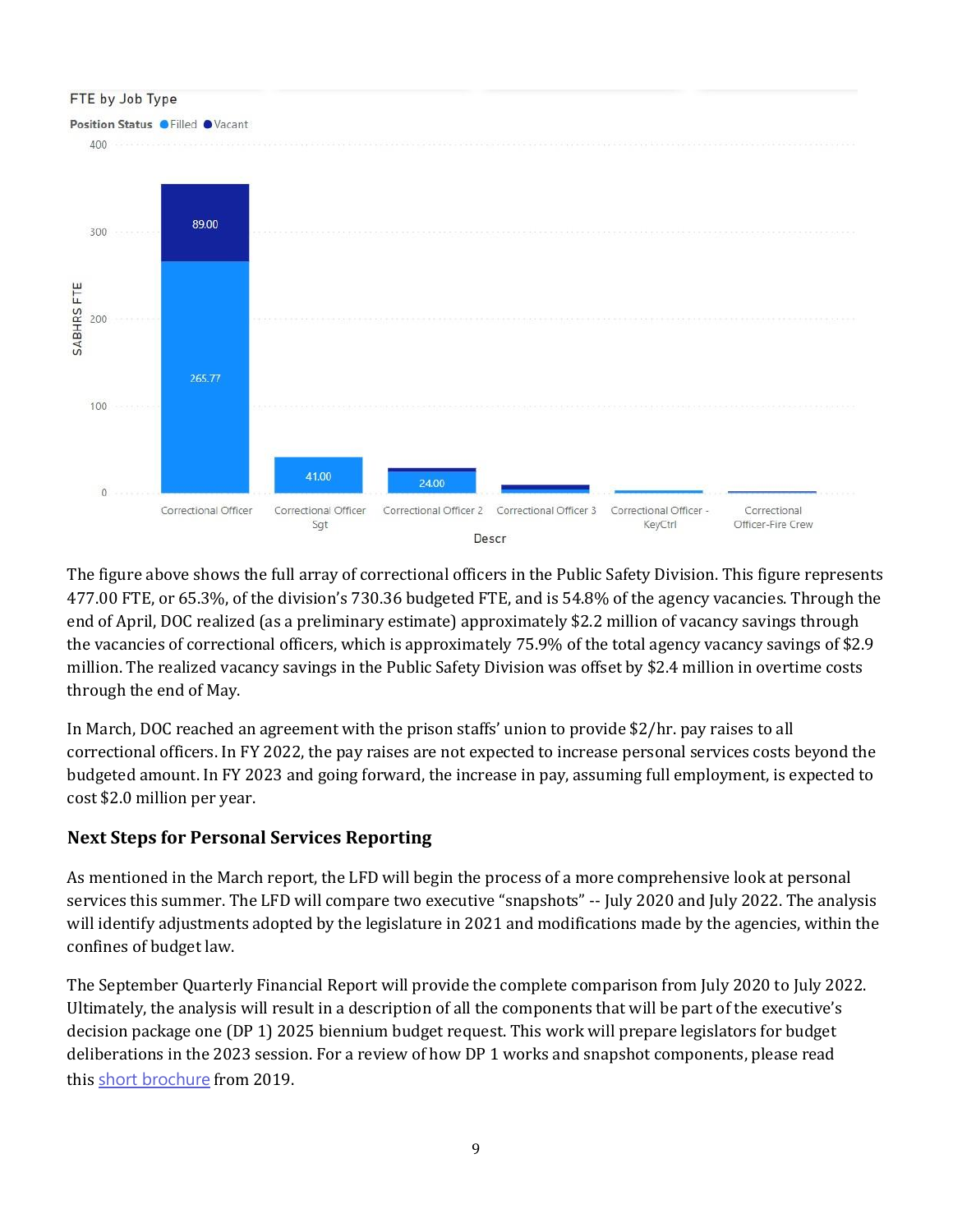

The figure above shows the full array of correctional officers in the Public Safety Division. This figure represents 477.00 FTE, or 65.3%, of the division's 730.36 budgeted FTE, and is 54.8% of the agency vacancies. Through the end of April, DOC realized (as a preliminary estimate) approximately \$2.2 million of vacancy savings through the vacancies of correctional officers, which is approximately 75.9% of the total agency vacancy savings of \$2.9 million. The realized vacancy savings in the Public Safety Division was offset by \$2.4 million in overtime costs through the end of May.

In March, DOC reached an agreement with the prison staffs' union to provide \$2/hr. pay raises to all correctional officers. In FY 2022, the pay raises are not expected to increase personal services costs beyond the budgeted amount. In FY 2023 and going forward, the increase in pay, assuming full employment, is expected to cost \$2.0 million per year.

### **Next Steps for Personal Services Reporting**

As mentioned in the March report, the LFD will begin the process of a more comprehensive look at personal services this summer. The LFD will compare two executive "snapshots" -- July 2020 and July 2022. The analysis will identify adjustments adopted by the legislature in 2021 and modifications made by the agencies, within the confines of budget law.

The September Quarterly Financial Report will provide the complete comparison from July 2020 to July 2022. Ultimately, the analysis will result in a description of all the components that will be part of the executive's decision package one (DP 1) 2025 biennium budget request. This work will prepare legislators for budget deliberations in the 2023 session. For a review of how DP 1 works and snapshot components, please read this [short brochure](https://montana.maps.arcgis.com/apps/Cascade/index.html?appid=23095fcf15754f4fb38b63c58a884b97) from 2019.